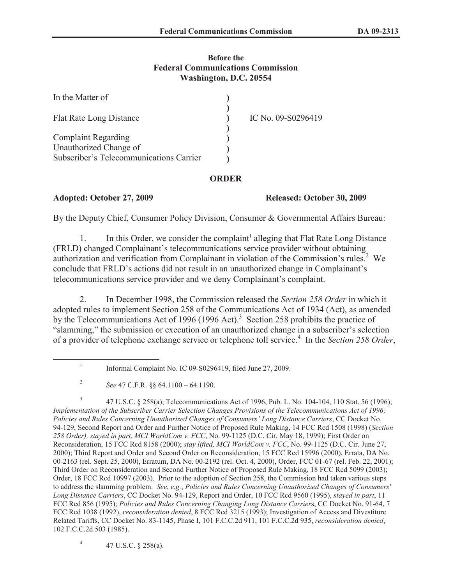## **Before the Federal Communications Commission Washington, D.C. 20554**

| In the Matter of                        |                    |
|-----------------------------------------|--------------------|
| <b>Flat Rate Long Distance</b>          | IC No. 09-S0296419 |
| <b>Complaint Regarding</b>              |                    |
| Unauthorized Change of                  |                    |
| Subscriber's Telecommunications Carrier |                    |

## **ORDER**

**Adopted: October 27, 2009 Released: October 30, 2009**

By the Deputy Chief, Consumer Policy Division, Consumer & Governmental Affairs Bureau:

1. In this Order, we consider the complaint<sup>1</sup> alleging that Flat Rate Long Distance (FRLD) changed Complainant's telecommunications service provider without obtaining authorization and verification from Complainant in violation of the Commission's rules.<sup>2</sup> We conclude that FRLD's actions did not result in an unauthorized change in Complainant's telecommunications service provider and we deny Complainant's complaint.

2. In December 1998, the Commission released the *Section 258 Order* in which it adopted rules to implement Section 258 of the Communications Act of 1934 (Act), as amended by the Telecommunications Act of 1996 (1996 Act).<sup>3</sup> Section 258 prohibits the practice of "slamming," the submission or execution of an unauthorized change in a subscriber's selection of a provider of telephone exchange service or telephone toll service.<sup>4</sup> In the *Section 258 Order*,

4 47 U.S.C. § 258(a).

<sup>1</sup> Informal Complaint No. IC 09-S0296419, filed June 27, 2009.

<sup>2</sup> *See* 47 C.F.R. §§ 64.1100 – 64.1190.

<sup>3</sup> 47 U.S.C. § 258(a); Telecommunications Act of 1996, Pub. L. No. 104-104, 110 Stat. 56 (1996); *Implementation of the Subscriber Carrier Selection Changes Provisions of the Telecommunications Act of 1996; Policies and Rules Concerning Unauthorized Changes of Consumers' Long Distance Carriers*, CC Docket No. 94-129, Second Report and Order and Further Notice of Proposed Rule Making, 14 FCC Rcd 1508 (1998) (*Section 258 Order), stayed in part, MCI WorldCom v. FCC*, No. 99-1125 (D.C. Cir. May 18, 1999); First Order on Reconsideration, 15 FCC Rcd 8158 (2000); *stay lifted, MCI WorldCom v. FCC*, No. 99-1125 (D.C. Cir. June 27, 2000); Third Report and Order and Second Order on Reconsideration, 15 FCC Rcd 15996 (2000), Errata, DA No. 00-2163 (rel. Sept. 25, 2000), Erratum, DA No. 00-2192 (rel. Oct. 4, 2000), Order, FCC 01-67 (rel. Feb. 22, 2001); Third Order on Reconsideration and Second Further Notice of Proposed Rule Making, 18 FCC Rcd 5099 (2003); Order, 18 FCC Rcd 10997 (2003). Prior to the adoption of Section 258, the Commission had taken various steps to address the slamming problem. *See*, *e.g.*, *Policies and Rules Concerning Unauthorized Changes of Consumers' Long Distance Carriers*, CC Docket No. 94-129, Report and Order, 10 FCC Rcd 9560 (1995), *stayed in part*, 11 FCC Rcd 856 (1995); *Policies and Rules Concerning Changing Long Distance Carrier*s, CC Docket No. 91-64, 7 FCC Rcd 1038 (1992), *reconsideration denied*, 8 FCC Rcd 3215 (1993); Investigation of Access and Divestiture Related Tariffs, CC Docket No. 83-1145, Phase I, 101 F.C.C.2d 911, 101 F.C.C.2d 935, *reconsideration denied*, 102 F.C.C.2d 503 (1985).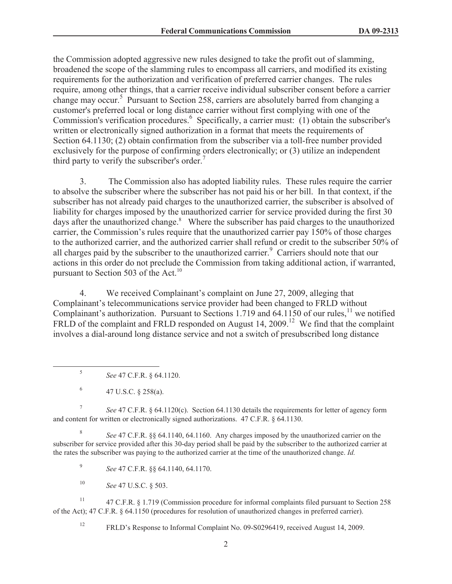the Commission adopted aggressive new rules designed to take the profit out of slamming, broadened the scope of the slamming rules to encompass all carriers, and modified its existing requirements for the authorization and verification of preferred carrier changes. The rules require, among other things, that a carrier receive individual subscriber consent before a carrier change may occur.<sup>5</sup> Pursuant to Section 258, carriers are absolutely barred from changing a customer's preferred local or long distance carrier without first complying with one of the Commission's verification procedures.<sup>6</sup> Specifically, a carrier must: (1) obtain the subscriber's written or electronically signed authorization in a format that meets the requirements of Section 64.1130; (2) obtain confirmation from the subscriber via a toll-free number provided exclusively for the purpose of confirming orders electronically; or (3) utilize an independent third party to verify the subscriber's order.<sup>7</sup>

3. The Commission also has adopted liability rules. These rules require the carrier to absolve the subscriber where the subscriber has not paid his or her bill. In that context, if the subscriber has not already paid charges to the unauthorized carrier, the subscriber is absolved of liability for charges imposed by the unauthorized carrier for service provided during the first 30 days after the unauthorized change.<sup>8</sup> Where the subscriber has paid charges to the unauthorized carrier, the Commission's rules require that the unauthorized carrier pay 150% of those charges to the authorized carrier, and the authorized carrier shall refund or credit to the subscriber 50% of all charges paid by the subscriber to the unauthorized carrier.<sup>9</sup> Carriers should note that our actions in this order do not preclude the Commission from taking additional action, if warranted, pursuant to Section 503 of the Act.<sup>10</sup>

4. We received Complainant's complaint on June 27, 2009, alleging that Complainant's telecommunications service provider had been changed to FRLD without Complainant's authorization. Pursuant to Sections 1.719 and 64.1150 of our rules,<sup>11</sup> we notified FRLD of the complaint and FRLD responded on August 14, 2009.<sup>12</sup> We find that the complaint involves a dial-around long distance service and not a switch of presubscribed long distance

7 *See* 47 C.F.R. § 64.1120(c). Section 64.1130 details the requirements for letter of agency form and content for written or electronically signed authorizations. 47 C.F.R. § 64.1130.

8 *See* 47 C.F.R. §§ 64.1140, 64.1160. Any charges imposed by the unauthorized carrier on the subscriber for service provided after this 30-day period shall be paid by the subscriber to the authorized carrier at the rates the subscriber was paying to the authorized carrier at the time of the unauthorized change. *Id.*

9 *See* 47 C.F.R. §§ 64.1140, 64.1170.

<sup>10</sup> *See* 47 U.S.C. § 503.

<sup>11</sup> 47 C.F.R. § 1.719 (Commission procedure for informal complaints filed pursuant to Section 258 of the Act); 47 C.F.R. § 64.1150 (procedures for resolution of unauthorized changes in preferred carrier).

<sup>12</sup> FRLD's Response to Informal Complaint No. 09-S0296419, received August 14, 2009.

<sup>5</sup> *See* 47 C.F.R. § 64.1120.

<sup>6</sup> 47 U.S.C. § 258(a).